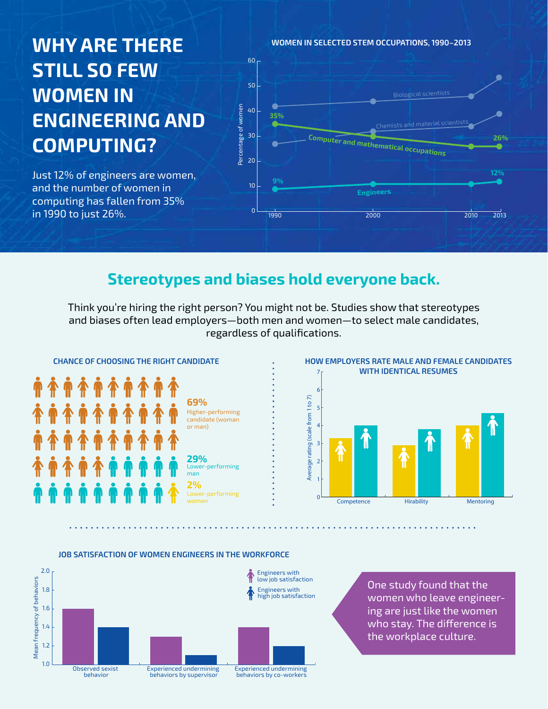# **Why are there still so few women in engineering and computing?**

Just 12% of engineers are women, and the number of women in computing has fallen from 35% in 1990 to just 26%.

**WOMEN IN SELECTED STEM OCCUPATIONS, 1990–2013** 60<sub>r</sub> 50 Biological scientists Percentage of women Percentage of women 40 **35%** Chemists and material scient 30 **Computer and mathematical occupations 26%** 20 **12% 9%** 10 **Engineers**  $\overline{0}$ 1990 2000 2010 2013

## **Stereotypes and biases hold everyone back.**

Think you're hiring the right person? You might not be. Studies show that stereotypes and biases often lead employers—both men and women—to select male candidates, regardless of qualifications.





### **JOB SATISFACTION OF WOMEN ENGINEERS IN THE WORKFORCE**



One study found that the women who leave engineering are just like the women who stay. The difference is the workplace culture.